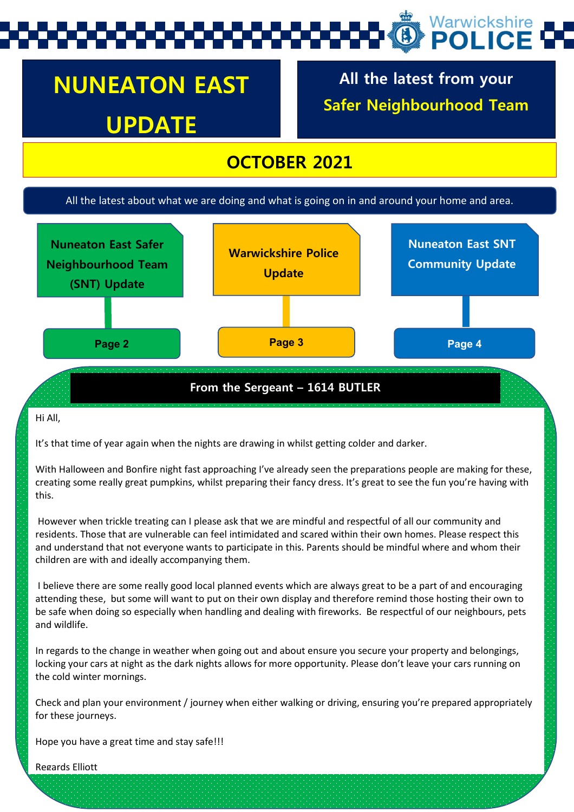# Warwickshire

# **NUNEATON EAST UPDATE**

**All the latest from your Safer Neighbourhood Team**

### **OCTOBER 2021**

#### All the latest about what we are doing and what is going on in and around your home and area.



**From the Sergeant – 1614 BUTLER**

Hi All,

It's that time of year again when the nights are drawing in whilst getting colder and darker.

With Halloween and Bonfire night fast approaching I've already seen the preparations people are making for these, creating some really great pumpkins, whilst preparing their fancy dress. It's great to see the fun you're having with this.

However when trickle treating can I please ask that we are mindful and respectful of all our community and residents. Those that are vulnerable can feel intimidated and scared within their own homes. Please respect this and understand that not everyone wants to participate in this. Parents should be mindful where and whom their children are with and ideally accompanying them.

I believe there are some really good local planned events which are always great to be a part of and encouraging attending these, but some will want to put on their own display and therefore remind those hosting their own to be safe when doing so especially when handling and dealing with fireworks. Be respectful of our neighbours, pets and wildlife.

In regards to the change in weather when going out and about ensure you secure your property and belongings, locking your cars at night as the dark nights allows for more opportunity. Please don't leave your cars running on the cold winter mornings.

Check and plan your environment / journey when either walking or driving, ensuring you're prepared appropriately for these journeys.

Hope you have a great time and stay safe!!!

Regards Elliott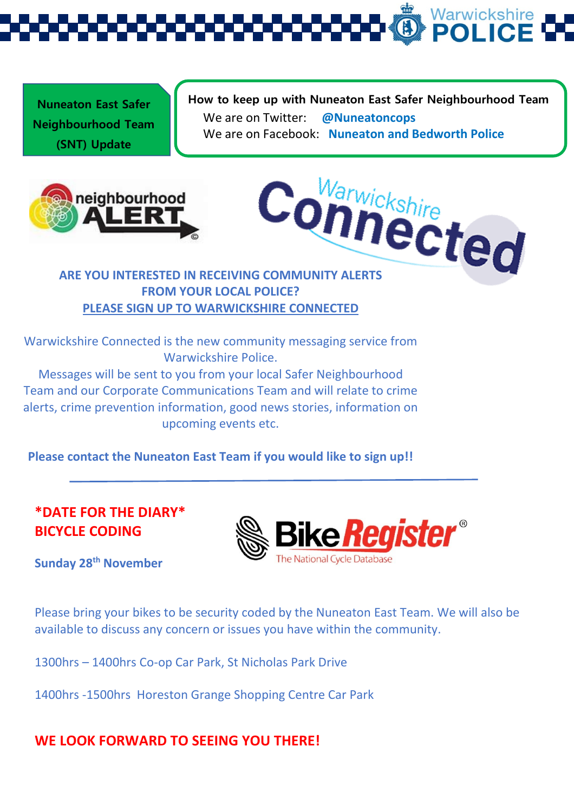Warwickshire<br>**POLICE** 

**Nuneaton East Safer Neighbourhood Team (SNT) Update** 

**How to keep up with Nuneaton East Safer Neighbourhood Team**  We are on Twitter: **@Nuneatoncops** We are on Facebook: **Nuneaton and Bedworth Police**





# **FROM YOUR LOCAL POLICE? PLEASE SIGN UP TO WARWICKSHIRE CONNECTED**

Warwickshire Connected is the new community messaging service from Warwickshire Police.

Messages will be sent to you from your local Safer Neighbourhood Team and our Corporate Communications Team and will relate to crime alerts, crime prevention information, good news stories, information on upcoming events etc.

**Please contact the Nuneaton East Team if you would like to sign up!!**

### **\*DATE FOR THE DIARY\* BICYCLE CODING**



**Sunday 28th November** 

Please bring your bikes to be security coded by the Nuneaton East Team. We will also be available to discuss any concern or issues you have within the community.

1300hrs – 1400hrs Co-op Car Park, St Nicholas Park Drive

1400hrs -1500hrs Horeston Grange Shopping Centre Car Park

### **WE LOOK FORWARD TO SEEING YOU THERE!**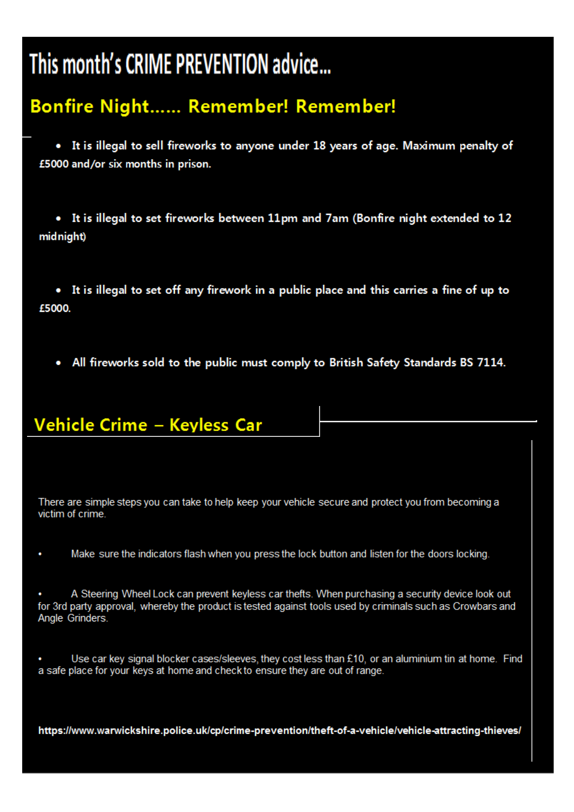# This month's CRIME PREVENTION advice...

# Bonfire Night...... Remember! Remember!

• It is illegal to sell fireworks to anyone under 18 years of age. Maximum penalty of £5000 and/or six months in prison.

• It is illegal to set fireworks between 11pm and 7am (Bonfire night extended to 12 midnight)

• It is illegal to set off any firework in a public place and this carries a fine of up to £5000.

• All fireworks sold to the public must comply to British Safety Standards BS 7114.

## Vehicle Crime - Keyless Car

There are simple steps you can take to help keep your vehicle secure and protect you from becoming a victim of crime.

Make sure the indicators flash when you press the lock button and listen for the doors locking.

A Steering Wheel Lock can prevent keyless car thefts. When purchasing a security device look out for 3rd party approval, whereby the product is tested against tools used by criminals such as Crowbars and Angle Grinders.

Use car key signal blocker cases/sleeves, they cost less than £10, or an aluminium tin at home. Find a safe place for your keys at home and check to ensure they are out of range.

https://www.warwickshire.police.uk/cp/crime-prevention/theft-of-a-vehicle/vehicle-attracting-thieves/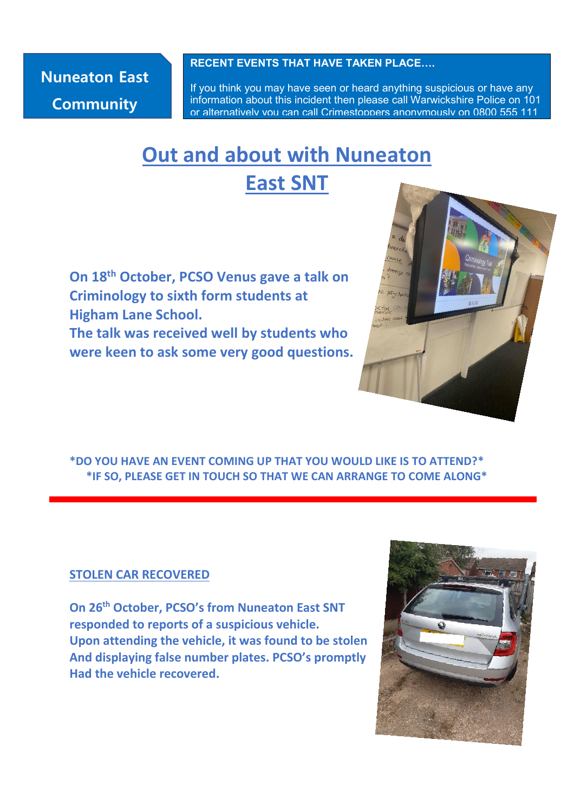**Nuneaton East Community** 

#### **RECENT EVENTS THAT HAVE TAKEN PLACE….**

If you think you may have seen or heard anything suspicious or have any information about this incident then please call Warwickshire Police on 101 or alternatively you can call Crimestoppers anonymously on 0800 555 111

# **Out and about with Nuneaton East SNT**

**On 18th October, PCSO Venus gave a talk on Criminology to sixth form students at Higham Lane School. The talk was received well by students who were keen to ask some very good questions.** 



**\*DO YOU HAVE AN EVENT COMING UP THAT YOU WOULD LIKE IS TO ATTEND?\* \*IF SO, PLEASE GET IN TOUCH SO THAT WE CAN ARRANGE TO COME ALONG\***

### **STOLEN CAR RECOVERED**

**On 26th October, PCSO's from Nuneaton East SNT responded to reports of a suspicious vehicle. Upon attending the vehicle, it was found to be stolen And displaying false number plates. PCSO's promptly Had the vehicle recovered.**